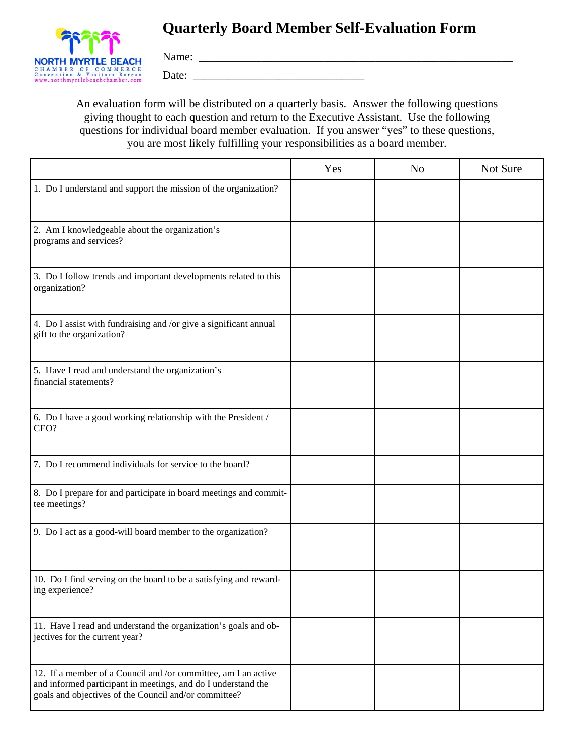## **Quarterly Board Member Self-Evaluation Form**



Name: \_\_\_\_\_\_\_\_\_\_\_\_\_\_\_\_\_\_\_\_\_\_\_\_\_\_\_\_\_\_\_\_\_\_\_\_\_\_\_\_\_\_\_\_\_\_\_\_\_\_\_\_\_\_\_

Date: \_\_\_\_\_\_\_\_\_\_\_\_\_\_\_\_\_\_\_\_\_\_\_\_\_\_\_\_\_\_

An evaluation form will be distributed on a quarterly basis. Answer the following questions giving thought to each question and return to the Executive Assistant. Use the following questions for individual board member evaluation. If you answer "yes" to these questions, you are most likely fulfilling your responsibilities as a board member.

|                                                                                                                                                                                          | Yes | N <sub>o</sub> | Not Sure |
|------------------------------------------------------------------------------------------------------------------------------------------------------------------------------------------|-----|----------------|----------|
| 1. Do I understand and support the mission of the organization?                                                                                                                          |     |                |          |
| 2. Am I knowledgeable about the organization's<br>programs and services?                                                                                                                 |     |                |          |
| 3. Do I follow trends and important developments related to this<br>organization?                                                                                                        |     |                |          |
| 4. Do I assist with fundraising and /or give a significant annual<br>gift to the organization?                                                                                           |     |                |          |
| 5. Have I read and understand the organization's<br>financial statements?                                                                                                                |     |                |          |
| 6. Do I have a good working relationship with the President /<br>CEO?                                                                                                                    |     |                |          |
| 7. Do I recommend individuals for service to the board?                                                                                                                                  |     |                |          |
| 8. Do I prepare for and participate in board meetings and commit-<br>tee meetings?                                                                                                       |     |                |          |
| 9. Do I act as a good-will board member to the organization?                                                                                                                             |     |                |          |
| 10. Do I find serving on the board to be a satisfying and reward-<br>ing experience?                                                                                                     |     |                |          |
| 11. Have I read and understand the organization's goals and ob-<br>jectives for the current year?                                                                                        |     |                |          |
| 12. If a member of a Council and /or committee, am I an active<br>and informed participant in meetings, and do I understand the<br>goals and objectives of the Council and/or committee? |     |                |          |